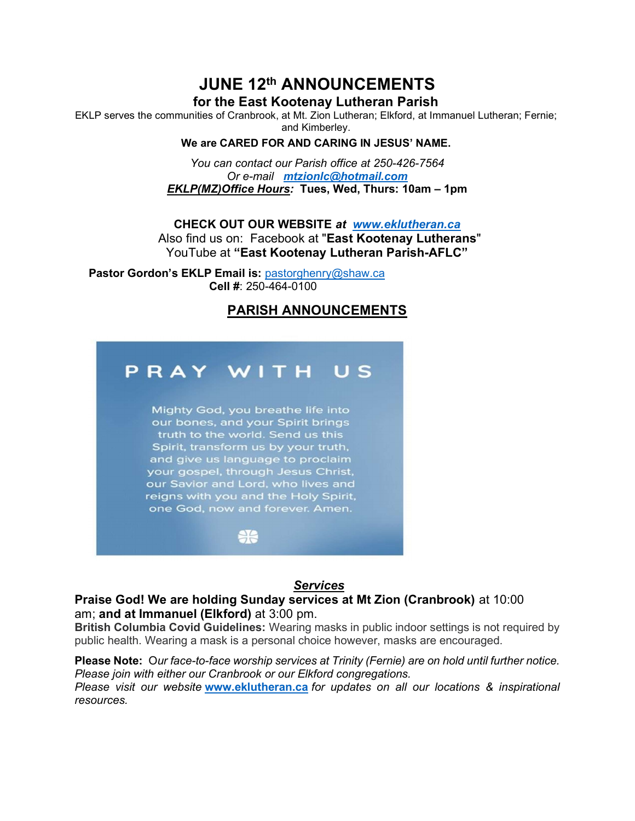# JUNE 12th ANNOUNCEMENTS

# for the East Kootenay Lutheran Parish

EKLP serves the communities of Cranbrook, at Mt. Zion Lutheran; Elkford, at Immanuel Lutheran; Fernie; and Kimberley.

# We are CARED FOR AND CARING IN JESUS' NAME.

You can contact our Parish office at 250-426-7564 Or e-mail mtzionlc@hotmail.com EKLP(MZ)Office Hours: Tues, Wed, Thurs: 10am – 1pm

CHECK OUT OUR WEBSITE at www.eklutheran.ca Also find us on: Facebook at "East Kootenay Lutherans" YouTube at "East Kootenay Lutheran Parish-AFLC"

Pastor Gordon's EKLP Email is: pastorghenry@shaw.ca Cell #: 250-464-0100

# PARISH ANNOUNCEMENTS



## Services

# Praise God! We are holding Sunday services at Mt Zion (Cranbrook) at 10:00 am; and at Immanuel (Elkford) at 3:00 pm.

British Columbia Covid Guidelines: Wearing masks in public indoor settings is not required by public health. Wearing a mask is a personal choice however, masks are encouraged.

#### Please Note: Our face-to-face worship services at Trinity (Fernie) are on hold until further notice. Please join with either our Cranbrook or our Elkford congregations.

Please visit our website www.eklutheran.ca for updates on all our locations & inspirational resources.